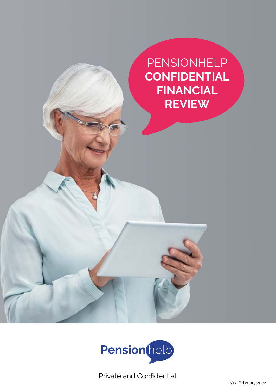**PENSIONHELP CONFIDENTIAL FINANCIAL REVIEW**



Private and Confidential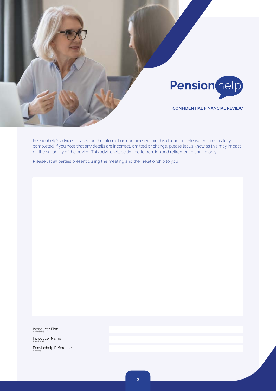

Pensionhelp's advice is based on the information contained within this document. Please ensure it is fully completed. If you note that any details are incorrect, omitted or change, please let us know as this may impact on the suitability of the advice. This advice will be limited to pension and retirement planning only.

Please list all parties present during the meeting and their relationship to you.

Introducer Firm

(if applicable)

Introducer Name (if applicable) Pensionhelp Reference (if known)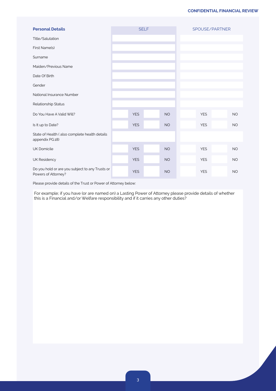| <b>Personal Details</b>                                                |            | <b>SELF</b> |           | SPOUSE/PARTNER |            |  |           |
|------------------------------------------------------------------------|------------|-------------|-----------|----------------|------------|--|-----------|
| Title/Salutation                                                       |            |             |           |                |            |  |           |
| First Name(s)                                                          |            |             |           |                |            |  |           |
| Surname                                                                |            |             |           |                |            |  |           |
| Maiden/Previous Name                                                   |            |             |           |                |            |  |           |
| Date Of Birth                                                          |            |             |           |                |            |  |           |
| Gender                                                                 |            |             |           |                |            |  |           |
| National Insurance Number                                              |            |             |           |                |            |  |           |
| Relationship Status                                                    |            |             |           |                |            |  |           |
| Do You Have A Valid Will?                                              | <b>YES</b> |             | <b>NO</b> |                | <b>YES</b> |  | <b>NO</b> |
| Is It up to Date?                                                      | <b>YES</b> |             | <b>NO</b> |                | <b>YES</b> |  | <b>NO</b> |
| State of Health (also complete health details<br>appendix PG.18)       |            |             |           |                |            |  |           |
| <b>UK Domicile</b>                                                     | <b>YES</b> |             | <b>NO</b> |                | <b>YES</b> |  | <b>NO</b> |
| <b>UK Residency</b>                                                    | <b>YES</b> |             | <b>NO</b> |                | <b>YES</b> |  | <b>NO</b> |
| Do you hold or are you subject to any Trusts or<br>Powers of Attorney? | <b>YES</b> |             | <b>NO</b> |                | <b>YES</b> |  | <b>NO</b> |

Please provide details of the Trust or Power of Attorney below:

For example; if you have (or are named on) a Lasting Power of Attorney please provide details of whether this is a Financial and/or Welfare responsibility and if it carries any other duties?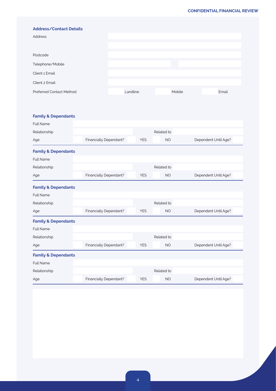| <b>Address/Contact Details</b>  |          |        |       |
|---------------------------------|----------|--------|-------|
| Address                         |          |        |       |
|                                 |          |        |       |
| Postcode                        |          |        |       |
| Telephone/Mobile                |          |        |       |
| Client 1 Email                  |          |        |       |
| Client 2 Email                  |          |        |       |
| <b>Preferred Contact Method</b> | Landline | Mobile | Email |

## **Family & Dependants**

| <b>Full Name</b>               |                        |            |            |                      |
|--------------------------------|------------------------|------------|------------|----------------------|
| Relationship                   |                        |            | Related to |                      |
| Age                            | Financially Dependant? | <b>YES</b> | <b>NO</b>  | Dependent Until Age? |
| <b>Family &amp; Dependants</b> |                        |            |            |                      |
| <b>Full Name</b>               |                        |            |            |                      |
| Relationship                   |                        |            | Related to |                      |
| Age                            | Financially Dependant? | <b>YES</b> | <b>NO</b>  | Dependent Until Age? |
| <b>Family &amp; Dependants</b> |                        |            |            |                      |
| <b>Full Name</b>               |                        |            |            |                      |
| Relationship                   |                        |            | Related to |                      |
| Age                            | Financially Dependant? | <b>YES</b> | <b>NO</b>  | Dependent Until Age? |
| <b>Family &amp; Dependants</b> |                        |            |            |                      |
| <b>Full Name</b>               |                        |            |            |                      |
| Relationship                   |                        |            | Related to |                      |
| Age                            | Financially Dependant? | <b>YES</b> | <b>NO</b>  | Dependent Until Age? |
| <b>Family &amp; Dependants</b> |                        |            |            |                      |
| <b>Full Name</b>               |                        |            |            |                      |
| Relationship                   |                        |            | Related to |                      |
| Age                            | Financially Dependant? | <b>YES</b> | <b>NO</b>  | Dependent Until Age? |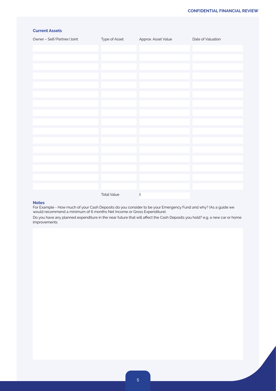## **Current Assets**

| Owner - Self/Partner/Joint | Type of Asset      | Approx. Asset Value  | Date of Valuation |
|----------------------------|--------------------|----------------------|-------------------|
|                            |                    |                      |                   |
|                            |                    |                      |                   |
|                            |                    |                      |                   |
|                            |                    |                      |                   |
|                            |                    |                      |                   |
|                            |                    |                      |                   |
|                            |                    |                      |                   |
|                            |                    |                      |                   |
|                            |                    |                      |                   |
|                            |                    |                      |                   |
|                            |                    |                      |                   |
|                            |                    |                      |                   |
|                            |                    |                      |                   |
|                            |                    |                      |                   |
|                            |                    |                      |                   |
|                            |                    |                      |                   |
|                            | <b>Total Value</b> | $\pmb{\hat{\Sigma}}$ |                   |

#### **Notes**

For Example - How much of your Cash Deposits do you consider to be your Emergency Fund and why? (As a guide we would recommend a minimum of 6 months Net Income or Gross Expenditure).

Do you have any planned expenditure in the near future that will affect the Cash Deposits you hold? e.g. a new car or home improvements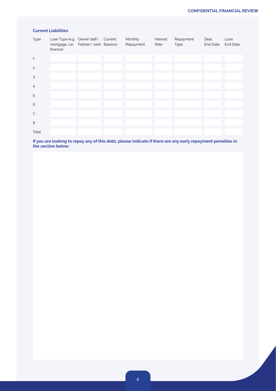## **Current Liabilities**

| Type           | Loan Type (e.g Owner Self/ Current<br>mortgage, car  Partner/ Joint  Balance<br>finance) |  | Monthly<br>Repayment | Interest<br>Rate | Repayment<br>Type | Deal<br>End Date | Loan<br><b>End Date</b> |
|----------------|------------------------------------------------------------------------------------------|--|----------------------|------------------|-------------------|------------------|-------------------------|
| $\mathbf 1$    |                                                                                          |  |                      |                  |                   |                  |                         |
| $\overline{c}$ |                                                                                          |  |                      |                  |                   |                  |                         |
| 3              |                                                                                          |  |                      |                  |                   |                  |                         |
| $\overline{4}$ |                                                                                          |  |                      |                  |                   |                  |                         |
| 5              |                                                                                          |  |                      |                  |                   |                  |                         |
| 6              |                                                                                          |  |                      |                  |                   |                  |                         |
| $\overline{7}$ |                                                                                          |  |                      |                  |                   |                  |                         |
| 8              |                                                                                          |  |                      |                  |                   |                  |                         |
| Total          |                                                                                          |  |                      |                  |                   |                  |                         |

**If you are looking to repay any of this debt, please indicate if there are any early repayment penalties in the section below:**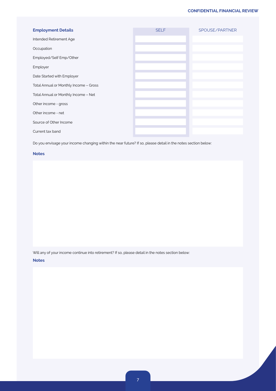| <b>Employment Details</b>              | <b>SELF</b> | SPOUSE/PARTNER |
|----------------------------------------|-------------|----------------|
| Intended Retirement Age                |             |                |
| Occupation                             |             |                |
| Employed/Self Emp/Other                |             |                |
| Employer                               |             |                |
| Date Started with Employer             |             |                |
| Total Annual or Monthly Income - Gross |             |                |
| Total Annual or Monthly Income - Net   |             |                |
| Other income - gross                   |             |                |
| Other income - net                     |             |                |
| Source of Other Income                 |             |                |
| Current tax band                       |             |                |

Do you envisage your income changing within the near future? If so, please detail in the notes section below:

#### **Notes**

Will any of your income continue into retirement? If so, please detail in the notes section below:

#### **Notes**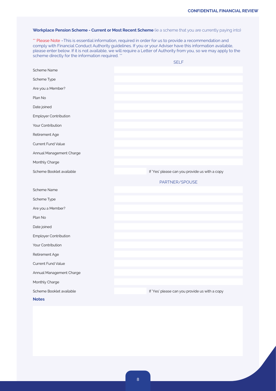## Workplace Pension Scheme - Current or Most Recent Scheme (ie a scheme that you are currently paying into)

\*\* Please Note -This is essential information, required in order for us to provide a recommendation and comply with Financial Conduct Authority guidelines. If you or your Adviser have this information available, please enter below. If it is not available, we will require a Letter of Authority from you, so we may apply to the scheme directly for the information required. \*\*

|                              | <b>SELF</b>                                    |
|------------------------------|------------------------------------------------|
| <b>Scheme Name</b>           |                                                |
| Scheme Type                  |                                                |
| Are you a Member?            |                                                |
| Plan No                      |                                                |
| Date joined                  |                                                |
| <b>Employer Contribution</b> |                                                |
| Your Contribution            |                                                |
| Retirement Age               |                                                |
| Current Fund Value           |                                                |
| Annual Management Charge     |                                                |
| Monthly Charge               |                                                |
| Scheme Booklet available     | If 'Yes' please can you provide us with a copy |
|                              | PARTNER/SPOUSE                                 |
| <b>Scheme Name</b>           |                                                |
| Scheme Type                  |                                                |
| Are you a Member?            |                                                |
| Plan No                      |                                                |
| Date joined                  |                                                |
| Employer Contribution        |                                                |
| Your Contribution            |                                                |
| Retirement Age               |                                                |
| <b>Current Fund Value</b>    |                                                |
| Annual Management Charge     |                                                |
| Monthly Charge               |                                                |
| Scheme Booklet available     | If 'Yes' please can you provide us with a copy |
| <b>Notes</b>                 |                                                |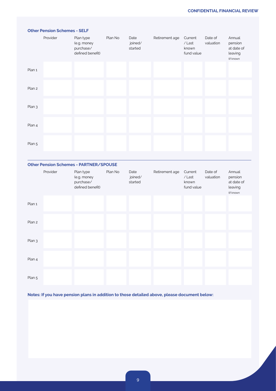|        | Provider | Plan type<br>(e.g. money<br>purchase/<br>defined benefit) | Plan No | Date<br>joined/<br>started | Retirement age | Current<br>/ Last<br>known<br>fund value | Date of<br>valuation | Annual<br>pension<br>at date of<br>leaving<br>(if known |
|--------|----------|-----------------------------------------------------------|---------|----------------------------|----------------|------------------------------------------|----------------------|---------------------------------------------------------|
| Plan 1 |          |                                                           |         |                            |                |                                          |                      |                                                         |
| Plan 2 |          |                                                           |         |                            |                |                                          |                      |                                                         |
| Plan 3 |          |                                                           |         |                            |                |                                          |                      |                                                         |
| Plan 4 |          |                                                           |         |                            |                |                                          |                      |                                                         |
| Plan 5 |          |                                                           |         |                            |                |                                          |                      |                                                         |
|        |          |                                                           |         |                            |                |                                          |                      |                                                         |

## **Other Pension Schemes - PARTNER/SPOUSE**

**Other Pension Schemes - SELF**

|        | Provider | Plan type<br>(e.g. money<br>purchase/<br>defined benefit) | Plan No | Date<br>joined/<br>started | Retirement age | Current<br>/ Last<br>known<br>fund value | Date of<br>valuation | Annual<br>pension<br>at date of<br>leaving<br>(if known |
|--------|----------|-----------------------------------------------------------|---------|----------------------------|----------------|------------------------------------------|----------------------|---------------------------------------------------------|
| Plan 1 |          |                                                           |         |                            |                |                                          |                      |                                                         |
| Plan 2 |          |                                                           |         |                            |                |                                          |                      |                                                         |
| Plan 3 |          |                                                           |         |                            |                |                                          |                      |                                                         |
| Plan 4 |          |                                                           |         |                            |                |                                          |                      |                                                         |
| Plan 5 |          |                                                           |         |                            |                |                                          |                      |                                                         |

**Notes: If you have pension plans in addition to those detailed above, please document below:**

9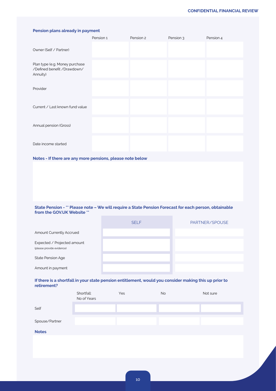# **Pension plans already in payment** Pension 1 Pension 2 Pension 3 Pension 4 Owner (Self / Partner) Plan type (e.g. Money purchase /Defined benefit /Drawdown/ Annuity) Provider Current / Last known fund value Annual pension (Gross) Date income started

#### **Notes - If there are any more pensions, please note below**

#### **State Pension - \*\* Please note – We will require a State Pension Forecast for each person, obtainable from the GOV.UK Website \*\***

|                                                          | <b>SELF</b> | PARTNER/SPOUSE |
|----------------------------------------------------------|-------------|----------------|
| Amount Currently Accrued                                 |             |                |
| Expected / Projected amount<br>(please provide evidence) |             |                |
| <b>State Pension Age</b>                                 |             |                |
| Amount in payment                                        |             |                |

#### **If there is a shortfall in your state pension entitlement, would you consider making this up prior to retirement?**

|                | Shortfall:<br>No of Years | Yes | No | Not sure |
|----------------|---------------------------|-----|----|----------|
| Self           |                           |     |    |          |
| Spouse/Partner |                           |     |    |          |
| <b>Notes</b>   |                           |     |    |          |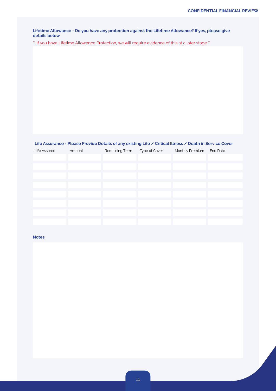**Lifetime Allowance - Do you have any protection against the Lifetime Allowance? If yes, please give details below.**

\*\* If you have Lifetime Allowance Protection, we will require evidence of this at a later stage.\*\*

## **Life Assurance - Please Provide Details of any existing Life / Critical Illness / Death in Service Cover**

| Amount | Remaining Term | Type of Cover | Monthly Premium | <b>End Date</b> |
|--------|----------------|---------------|-----------------|-----------------|
|        |                |               |                 |                 |
|        |                |               |                 |                 |
|        |                |               |                 |                 |
|        |                |               |                 |                 |
|        |                |               |                 |                 |
|        |                |               |                 |                 |
|        |                |               |                 |                 |
|        |                |               |                 |                 |
|        |                |               |                 |                 |
|        |                |               |                 |                 |
|        |                |               |                 |                 |

## **Notes**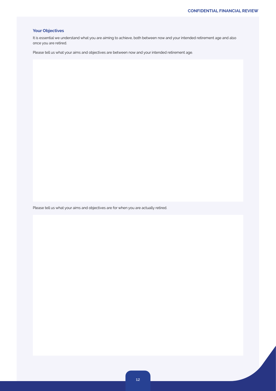## **Your Objectives**

It is essential we understand what you are aiming to achieve, both between now and your intended retirement age and also once you are retired.

Please tell us what your aims and objectives are between now and your intended retirement age.

Please tell us what your aims and objectives are for when you are actually retired.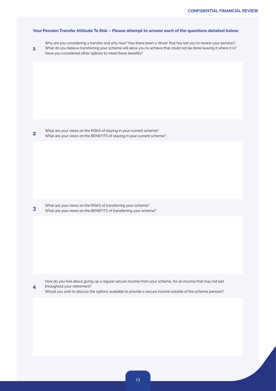#### **Your Pension Transfer Attitude To Risk – Please attempt to answer each of the questions detailed below.**

- Why are you considering a transfer and why now? Has there been a 'driver' that has led you to review your pension?
- **1** What do you believe transferring your scheme will allow you to achieve that could not be done leaving it where it is? Have you considered other options to meet these benefits?

**2** What are your views on the RISKS of staying in your current scheme? What are your views on the BENEFITS of staying in your current scheme?

**3** What are your views on the RISKS of transferring your scheme?<br>**3** What are your views on the PENEELTS of transferring your scheme What are your views on the BENEFITS of transferring your scheme?

**4**

How do you feel about giving up a regular secure income from your scheme, for an income that may not last throughout your retirement?

Would you wish to discuss the options available to provide a secure income outside of the scheme pension?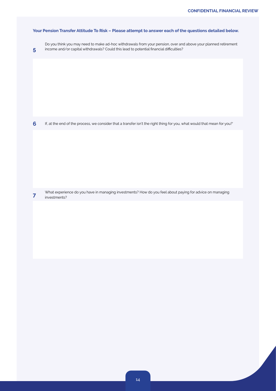## **Your Pension Transfer Attitude To Risk – Please attempt to answer each of the questions detailed below.**

**5**

Do you think you may need to make ad-hoc withdrawals from your pension, over and above your planned retirement income and/or capital withdrawals? Could this lead to potential financial difficulties?

**6** If, at the end of the process, we consider that a transfer isn't the right thing for you, what would that mean for you?'

**7** What experience do you have in managing investments? How do you feel about paying for advice on managing investments? investments?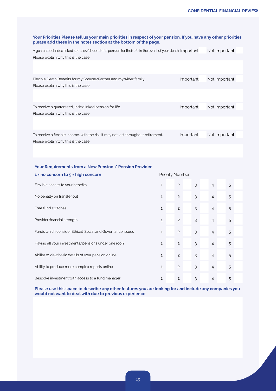| Your Priorities Please tell us your main priorities in respect of your pension. If you have any other priorities<br>please add these in the notes section at the bottom of the page. |              |                        |   |                |               |  |
|--------------------------------------------------------------------------------------------------------------------------------------------------------------------------------------|--------------|------------------------|---|----------------|---------------|--|
| A guaranteed index linked spouses/dependants pension for their life in the event of your death Important<br>Please explain why this is the case.                                     |              |                        |   |                | Not Important |  |
|                                                                                                                                                                                      |              |                        |   |                |               |  |
| Flexible Death Benefits for my Spouse/Partner and my wider family.                                                                                                                   |              | Important              |   |                | Not Important |  |
| Please explain why this is the case.                                                                                                                                                 |              |                        |   |                |               |  |
| To receive a guaranteed, index linked pension for life.<br>Please explain why this is the case.                                                                                      |              | Important              |   |                | Not Important |  |
|                                                                                                                                                                                      |              |                        |   |                |               |  |
| To receive a flexible income, with the risk it may not last throughout retirement.<br>Please explain why this is the case.                                                           |              | Important              |   |                | Not Important |  |
|                                                                                                                                                                                      |              |                        |   |                |               |  |
| Your Requirements from a New Pension / Pension Provider                                                                                                                              |              |                        |   |                |               |  |
| $1 = no concern to 5 = high concern$                                                                                                                                                 |              | <b>Priority Number</b> |   |                |               |  |
| Flexible access to your benefits                                                                                                                                                     | $\mathbf{1}$ | 2                      | 3 | 4              | 5             |  |
| No penalty on transfer out                                                                                                                                                           | $\mathbf{1}$ | $\mathbf{2}$           | 3 | $\overline{4}$ | 5             |  |
| Free fund switches                                                                                                                                                                   | $\mathbf{1}$ | $\mathbf{2}$           | 3 | 4              | 5             |  |
| Provider financial strength                                                                                                                                                          | $\mathbf{1}$ | $\mathbf{2}$           | 3 | 4              | 5             |  |
| Funds which consider Ethical, Social and Governance Issues                                                                                                                           | $\mathbf{1}$ | $\mathbf{2}$           | 3 | 4              | 5             |  |
| Having all your investments/pensions under one roof?                                                                                                                                 | 1            | 2                      | 3 | 4              | 5             |  |
| Ability to view basic details of your pension online                                                                                                                                 | $\mathbf 1$  | $\mathbf{2}$           | 3 | $\overline{4}$ | 5             |  |
| Ability to produce more complex reports online                                                                                                                                       | $\mathbf{1}$ | $\overline{c}$         | 3 | $\overline{4}$ | 5             |  |
| Bespoke investment with access to a fund manager                                                                                                                                     | $\mathbf 1$  | $\overline{c}$         | 3 | $\overline{4}$ | 5             |  |

**Please use this space to describe any other features you are looking for and include any companies you would not want to deal with due to previous experience**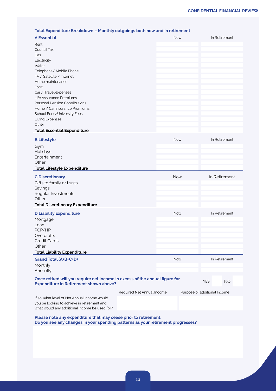#### **Total Expenditure Breakdown – Monthly outgoings both now and in retirement**

|                                                                                                                              | Total Expenditure Breakdown – Monthly outgoings both now and in retirement |            |                              |            |               |
|------------------------------------------------------------------------------------------------------------------------------|----------------------------------------------------------------------------|------------|------------------------------|------------|---------------|
| <b>A Essential</b>                                                                                                           |                                                                            | Now        |                              |            | In Retirement |
| Rent                                                                                                                         |                                                                            |            |                              |            |               |
| Council Tax                                                                                                                  |                                                                            |            |                              |            |               |
| Gas                                                                                                                          |                                                                            |            |                              |            |               |
| Electricity                                                                                                                  |                                                                            |            |                              |            |               |
| Water                                                                                                                        |                                                                            |            |                              |            |               |
| Telephone/ Mobile Phone                                                                                                      |                                                                            |            |                              |            |               |
| TV / Satellite / Internet                                                                                                    |                                                                            |            |                              |            |               |
| Home maintenance                                                                                                             |                                                                            |            |                              |            |               |
| Food                                                                                                                         |                                                                            |            |                              |            |               |
| Car / Travel expenses                                                                                                        |                                                                            |            |                              |            |               |
| Life Assurance Premiums                                                                                                      |                                                                            |            |                              |            |               |
| Personal Pension Contributions                                                                                               |                                                                            |            |                              |            |               |
| Home / Car Insurance Premiums                                                                                                |                                                                            |            |                              |            |               |
| School Fees/University Fees                                                                                                  |                                                                            |            |                              |            |               |
| Living Expenses                                                                                                              |                                                                            |            |                              |            |               |
| Other                                                                                                                        |                                                                            |            |                              |            |               |
| <b>Total Essential Expenditure</b>                                                                                           |                                                                            |            |                              |            |               |
| <b>B Lifestyle</b>                                                                                                           |                                                                            | Now        |                              |            | In Retirement |
| Gym                                                                                                                          |                                                                            |            |                              |            |               |
| Holidays                                                                                                                     |                                                                            |            |                              |            |               |
| Entertainment                                                                                                                |                                                                            |            |                              |            |               |
| Other                                                                                                                        |                                                                            |            |                              |            |               |
| <b>Total Lifestyle Expenditure</b>                                                                                           |                                                                            |            |                              |            |               |
|                                                                                                                              |                                                                            |            |                              |            |               |
| <b>C</b> Discretionary                                                                                                       |                                                                            |            |                              |            |               |
|                                                                                                                              |                                                                            | Now        |                              |            | In Retirement |
| Gifts to family or trusts                                                                                                    |                                                                            |            |                              |            |               |
| Savings                                                                                                                      |                                                                            |            |                              |            |               |
| Regular Investments                                                                                                          |                                                                            |            |                              |            |               |
| Other                                                                                                                        |                                                                            |            |                              |            |               |
| <b>Total Discretionary Expenditure</b>                                                                                       |                                                                            |            |                              |            |               |
|                                                                                                                              |                                                                            | Now        |                              |            | In Retirement |
| <b>D Liability Expenditure</b>                                                                                               |                                                                            |            |                              |            |               |
| Mortgage<br>Loan                                                                                                             |                                                                            |            |                              |            |               |
| PCP/HP                                                                                                                       |                                                                            |            |                              |            |               |
| Overdrafts                                                                                                                   |                                                                            |            |                              |            |               |
| <b>Credit Cards</b>                                                                                                          |                                                                            |            |                              |            |               |
| Other                                                                                                                        |                                                                            |            |                              |            |               |
| <b>Total Liability Expenditure</b>                                                                                           |                                                                            |            |                              |            |               |
|                                                                                                                              |                                                                            | <b>Now</b> |                              |            | In Retirement |
| Grand Total (A+B+C+D)                                                                                                        |                                                                            |            |                              |            |               |
| Monthly                                                                                                                      |                                                                            |            |                              |            |               |
| Annually                                                                                                                     |                                                                            |            |                              |            |               |
| Once retired will you require net income in excess of the annual figure for<br><b>Expenditure in Retirement shown above?</b> |                                                                            |            |                              | <b>YES</b> | <b>NO</b>     |
|                                                                                                                              | Required Net Annual Income                                                 |            | Purpose of additional Income |            |               |
| If so, what level of Net Annual Income would                                                                                 |                                                                            |            |                              |            |               |
| you be looking to achieve in retirement and<br>what would any additional income be used for?                                 |                                                                            |            |                              |            |               |

**Please note any expenditure that may cease prior to retirement. Do you see any changes in your spending patterns as your retirement progresses?**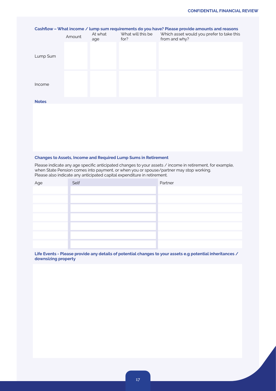| Cashflow - What income / lump sum requirements do you have? Please provide amounts and reasons |        |                |                           |                                                            |  |
|------------------------------------------------------------------------------------------------|--------|----------------|---------------------------|------------------------------------------------------------|--|
|                                                                                                | Amount | At what<br>age | What will this be<br>for? | Which asset would you prefer to take this<br>from and why? |  |
|                                                                                                |        |                |                           |                                                            |  |
| Lump Sum                                                                                       |        |                |                           |                                                            |  |
|                                                                                                |        |                |                           |                                                            |  |
|                                                                                                |        |                |                           |                                                            |  |
| Income                                                                                         |        |                |                           |                                                            |  |
|                                                                                                |        |                |                           |                                                            |  |
| <b>Notes</b>                                                                                   |        |                |                           |                                                            |  |
|                                                                                                |        |                |                           |                                                            |  |
|                                                                                                |        |                |                           |                                                            |  |
|                                                                                                |        |                |                           |                                                            |  |
|                                                                                                |        |                |                           |                                                            |  |
|                                                                                                |        |                |                           |                                                            |  |

#### **Changes to Assets, Income and Required Lump Sums in Retirement**

Please indicate any age specific anticipated changes to your assets / income in retirement, for example, when State Pension comes into payment, or when you or spouse/partner may stop working. Please also indicate any anticipated capital expenditure in retirement.

| Age | Self | Partner |
|-----|------|---------|
|     |      |         |
|     |      |         |
|     |      |         |
|     |      |         |
|     |      |         |
|     |      |         |
|     |      |         |
|     |      |         |

**Life Events - Please provide any details of potential changes to your assets e.g potential inheritances / downsizing property**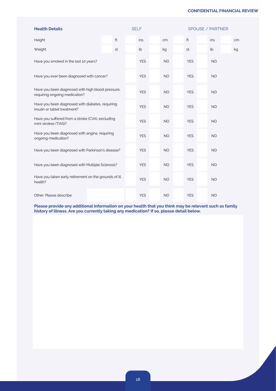| <b>Health Details</b>                                                              |                                                  |    |  | <b>SELF</b> |           |            | SPOUSE / PARTNER |    |
|------------------------------------------------------------------------------------|--------------------------------------------------|----|--|-------------|-----------|------------|------------------|----|
| Height                                                                             |                                                  | ft |  | ins         | cm        | ft         | ins              | cm |
| Weight                                                                             |                                                  | st |  | lb          | kg        | st         | lb               | kg |
| Have you smoked in the last 10 years?                                              |                                                  |    |  | <b>YES</b>  | <b>NO</b> | <b>YES</b> | <b>NO</b>        |    |
| Have you ever been diagnosed with cancer?                                          |                                                  |    |  | <b>YES</b>  | <b>NO</b> | <b>YES</b> | <b>NO</b>        |    |
| Have you been diagnosed with high blood pressure,<br>requiring ongoing medication? |                                                  |    |  | <b>YES</b>  | <b>NO</b> | <b>YES</b> | <b>NO</b>        |    |
| insulin or tablet treatment?                                                       | Have you been diagnosed with diabetes, requiring |    |  | <b>YES</b>  | <b>NO</b> | <b>YES</b> | <b>NO</b>        |    |
| Have you suffered from a stroke (CVA), excluding<br>mini-strokes (TIAS)?           |                                                  |    |  | <b>YES</b>  | <b>NO</b> | <b>YES</b> | <b>NO</b>        |    |
| Have you been diagnosed with angina, requiring<br>ongoing medication?              |                                                  |    |  | <b>YES</b>  | <b>NO</b> | <b>YES</b> | <b>NO</b>        |    |
| Have you been diagnosed with Parkinson's disease?                                  |                                                  |    |  | <b>YES</b>  | <b>NO</b> | <b>YES</b> | <b>NO</b>        |    |
| Have you been diagnosed with Multiple Sclerosis?                                   |                                                  |    |  | <b>YES</b>  | <b>NO</b> | <b>YES</b> | <b>NO</b>        |    |
| Have you taken early retirement on the grounds of ill<br>health?                   |                                                  |    |  | <b>YES</b>  | <b>NO</b> | <b>YES</b> | <b>NO</b>        |    |
| Other: Please describe                                                             |                                                  |    |  | <b>YES</b>  | <b>NO</b> | <b>YES</b> | <b>NO</b>        |    |

**Please provide any additional information on your health that you think may be relevant such as family history of illness. Are you currently taking any medication? If so, please detail below.**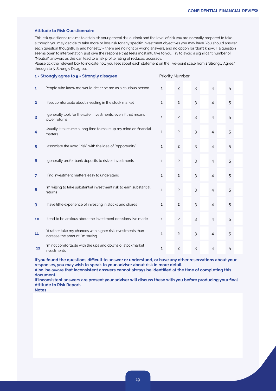#### **Attitude to Risk Questionnaire**

This risk questionnaire aims to establish your general risk outlook and the level of risk you are normally prepared to take, although you may decide to take more or less risk for any specific investment objectives you may have. You should answer each question thoughtfully and honestly – there are no right or wrong answers, and no option for 'don't know'. If a question seems open to interpretation, just give the response that feels most intuitive to you. Try to avoid a significant number of "Neutral" answers as this can lead to a risk profile rating of reduced accuracy.

Please tick the relevant box to indicate how you feel about each statement on the five-point scale from 1 'Strongly Agree,' through to 5 'Strongly Disagree'.

|                | 1 = Strongly agree to 5 = Strongly disagree                                                    |              | <b>Priority Number</b> |   |                |   |  |
|----------------|------------------------------------------------------------------------------------------------|--------------|------------------------|---|----------------|---|--|
| 1              | People who know me would describe me as a cautious person                                      | $\mathbf{1}$ | $\overline{c}$         | 3 | $\overline{4}$ | 5 |  |
| 2              | I feel comfortable about investing in the stock market                                         | $\mathbf{1}$ | $\overline{c}$         | 3 | $\overline{4}$ | 5 |  |
| 3              | I generally look for the safer investments, even if that means<br>lower returns                | $\mathbf{1}$ | $\overline{c}$         | 3 | $\overline{4}$ | 5 |  |
| 4              | Usually it takes me a long time to make up my mind on financial<br>matters                     | $\mathbf{1}$ | 2                      | 3 | $\overline{4}$ | 5 |  |
| 5              | I associate the word "risk" with the idea of "opportunity"                                     | $\mathbf{1}$ | 2                      | 3 | $\overline{4}$ | 5 |  |
| 6              | I generally prefer bank deposits to riskier investments                                        | $\mathbf{1}$ | $\overline{c}$         | 3 | $\overline{4}$ | 5 |  |
| $\overline{7}$ | I find investment matters easy to understand                                                   | $\mathbf{1}$ | $\overline{c}$         | 3 | $\overline{4}$ | 5 |  |
| 8              | I'm willing to take substantial investment risk to earn substantial<br>returns                 | $\mathbf{1}$ | $\overline{c}$         | 3 | $\overline{4}$ | 5 |  |
| 9              | I have little experience of investing in stocks and shares                                     | $\mathbf{1}$ | $\overline{c}$         | 3 | $\overline{4}$ | 5 |  |
| 10             | I tend to be anxious about the investment decisions I've made                                  | $\mathbf{1}$ | $\overline{c}$         | 3 | $\overline{4}$ | 5 |  |
| 11             | I'd rather take my chances with higher risk investments than<br>increase the amount I'm saving | $\mathbf{1}$ | $\overline{c}$         | 3 | $\overline{4}$ | 5 |  |
| 12             | I'm not comfortable with the ups and downs of stockmarket<br>investments                       | $\mathbf{1}$ | 2                      | 3 | $\overline{4}$ | 5 |  |

**If you found the questions difficult to answer or understand, or have any other reservations about your responses, you may wish to speak to your adviser about risk in more detail. Also, be aware that inconsistent answers cannot always be identified at the time of completing this document.**

**If inconsistent answers are present your adviser will discuss these with you before producing your final Attitude to Risk Report.**

**Notes**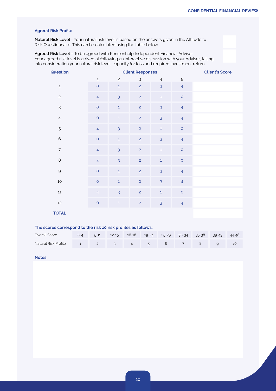## **Agreed Risk Profile**

**Natural Risk Level** - Your natural risk level is based on the answers given in the Attitude to Risk Questionnaire. This can be calculated using the table below.

**Agreed Risk Level** – To be agreed with Pensionhelp Independent Financial Adviser Your agreed risk level is arrived at following an interactive discussion with your Adviser, taking into consideration your natural risk level, capacity for loss and required investment return.

| Question       |                |                | <b>Client Responses</b> |                |                | <b>Client's Score</b> |
|----------------|----------------|----------------|-------------------------|----------------|----------------|-----------------------|
|                | $\mathbf 1$    | $\overline{c}$ | 3                       | $\overline{4}$ | 5              |                       |
| $\mathbf 1$    | $\circ$        | $\mathbf 1$    | $\overline{c}$          | 3              | $\overline{4}$ |                       |
| $\overline{c}$ | $\overline{4}$ | $\overline{3}$ | $\overline{c}$          | $\mathbf{1}$   | $\circ$        |                       |
| $\mathsf 3$    | $\circ$        | $\mathbf 1$    | $\overline{c}$          | 3              | $\overline{4}$ |                       |
| $\overline{4}$ | $\circ$        | $\mathbf 1$    | $\overline{c}$          | 3              | $\overline{4}$ |                       |
| 5              | $\overline{4}$ | $\mathfrak{Z}$ | $\overline{c}$          | $\mathbf{1}$   | $\circ$        |                       |
| $\mathbf 6$    | $\circ$        | $\mathbf 1$    | $\overline{c}$          | $\overline{3}$ | $\overline{4}$ |                       |
| $\overline{7}$ | $\overline{4}$ | $\overline{3}$ | $\overline{c}$          | $\mathbf{1}$   | $\circ$        |                       |
| $\,8\,$        | $\overline{4}$ | $\overline{3}$ | $\overline{c}$          | $\mathbf{1}$   | $\circ$        |                       |
| $\mathsf{Q}$   | $\circ$        | $\mathbf 1$    | $\overline{c}$          | 3              | $\overline{4}$ |                       |
| $10$           | $\circ$        | $\mathbf 1$    | $\overline{c}$          | 3              | $\overline{4}$ |                       |
| $11\,$         | $\overline{4}$ | $\overline{3}$ | $\overline{c}$          | $\mathbf{1}$   | $\circ$        |                       |
| $12\,$         | $\circ$        | $\mathbf 1$    | $\overline{2}$          | 3              | $\overline{4}$ |                       |
| <b>TOTAL</b>   |                |                |                         |                |                |                       |

#### **The scores correspond to the risk 10 risk profiles as follows:**

| Overall Score                             |  | 0-4 5-11 12-15 16-18 19-24 25-29 30-34 35-38 39-43 44-48 |  |  |  |
|-------------------------------------------|--|----------------------------------------------------------|--|--|--|
| Natural Risk Profile 1 2 3 4 5 6 7 8 9 10 |  |                                                          |  |  |  |

#### **Notes**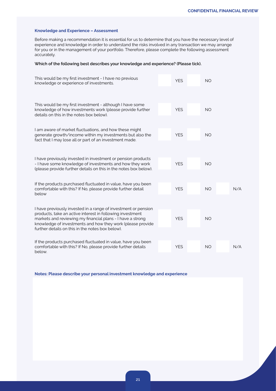#### **Knowledge and Experience – Assessment**

Before making a recommendation it is essential for us to determine that you have the necessary level of experience and knowledge in order to understand the risks involved in any transaction we may arrange for you or in the management of your portfolio. Therefore, please complete the following assessment accurately.

#### **Which of the following best describes your knowledge and experience? (Please tick).**

| This would be my first investment - I have no previous<br>knowledge or experience of investments.                                                                                                                                         | <b>YES</b> | <b>NO</b> |     |
|-------------------------------------------------------------------------------------------------------------------------------------------------------------------------------------------------------------------------------------------|------------|-----------|-----|
|                                                                                                                                                                                                                                           |            |           |     |
| This would be my first investment - although I have some<br>knowledge of how investments work (please provide further<br>details on this in the notes box below).                                                                         | <b>YES</b> | <b>NO</b> |     |
| I am aware of market fluctuations, and how these might<br>generate growth/income within my investments but also the<br>fact that I may lose all or part of an investment made.                                                            | <b>YES</b> | <b>NO</b> |     |
|                                                                                                                                                                                                                                           |            |           |     |
| I have previously invested in investment or pension products<br>- I have some knowledge of investments and how they work<br>(please provide further details on this in the notes box below).                                              | <b>YES</b> | <b>NO</b> |     |
| If the products purchased fluctuated in value, have you been                                                                                                                                                                              |            |           |     |
| comfortable with this? If No, please provide further detail<br>below                                                                                                                                                                      | <b>YES</b> | NO.       | N/A |
| I have previously invested in a range of investment or pension                                                                                                                                                                            |            |           |     |
| products, take an active interest in following investment<br>markets and reviewing my financial plans - I have a strong<br>knowledge of investments and how they work (please provide<br>further details on this in the notes box below). | <b>YES</b> | <b>NO</b> |     |
|                                                                                                                                                                                                                                           |            |           |     |
| If the products purchased fluctuated in value, have you been<br>comfortable with this? If No, please provide further details<br>below.                                                                                                    | <b>YES</b> | <b>NO</b> | N/A |

**Notes: Please describe your personal investment knowledge and experience**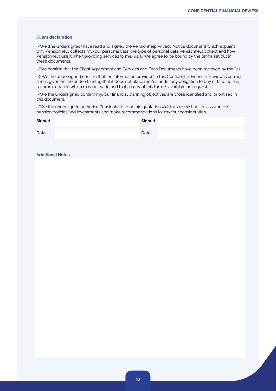#### **Client declaration**

I/We (the undersigned) have read and signed the Pensionhelp Privacy Notice document which explains why Pensionhelp collects my/our personal data, the type of personal data Pensionhelp collect and how Pensionhelp use it when providing services to me/us. I/We agree to be bound by the terms set out in these documents.

I/We confirm that the Client Agreement and Services and Fees Documents have been recieved by me/us.

I//We the undersigned confirm that the information provided in this Confidential Financial Review is correct and is given on the understanding that it does not place me/us under any obligation to buy or take up any recommendation which may be made and that a copy of this form is available on request.

I/We the undersigned confirm my/our financial planning objectives are those identified and prioritised in this document.

I/We the undersigned authorise Pensionhelp to obtain quotations/details of existing life assurance/ pension policies and investments and make recommendations for my/our consideration.

| Signed | Signed |
|--------|--------|
| Date   | Date   |

#### **Additional Notes**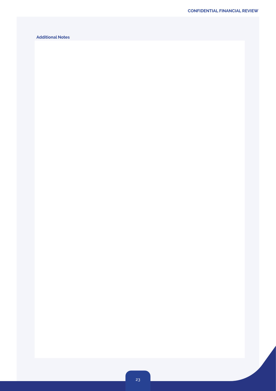## **Additional Notes**